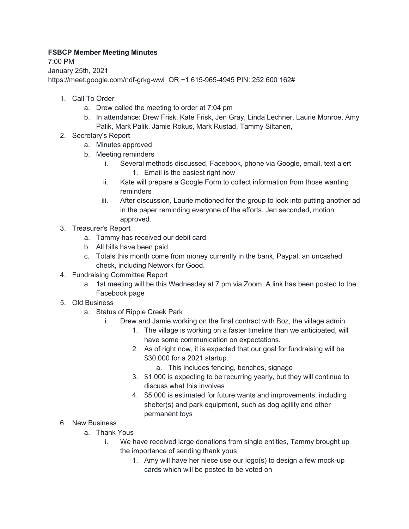## **FSBCP Member Meeting Minutes**

7:00 PM January 25th, 2021 https://meet.google.com/ndf-grkg-wwi OR +1 615-965-4945 PIN: 252 600 162#

- 1. Call To Order
	- a. Drew called the meeting to order at 7:04 pm
	- b. In attendance: Drew Frisk, Kate Frisk, Jen Gray, Linda Lechner, Laurie Monroe, Amy Palik, Mark Palik, Jamie Rokus, Mark Rustad, Tammy Siltanen,
- 2. Secretary's Report
	- a. Minutes approved
	- b. Meeting reminders
		- i. Several methods discussed, Facebook, phone via Google, email, text alert 1. Email is the easiest right now
		- ii. Kate will prepare a Google Form to collect information from those wanting reminders
		- iii. After discussion, Laurie motioned for the group to look into putting another ad in the paper reminding everyone of the efforts. Jen seconded, motion approved.
- 3. Treasurer's Report
	- a. Tammy has received our debit card
	- b. All bills have been paid
	- c. Totals this month come from money currently in the bank, Paypal, an uncashed check, including Network for Good.
- 4. Fundraising Committee Report
	- a. 1st meeting will be this Wednesday at 7 pm via Zoom. A link has been posted to the Facebook page
- 5. Old Business
	- a. Status of Ripple Creek Park
		- i. Drew and Jamie working on the final contract with Boz, the village admin
			- 1. The village is working on a faster timeline than we anticipated, will have some communication on expectations.
			- 2. As of right now, it is expected that our goal for fundraising will be \$30,000 for a 2021 startup.
				- a. This includes fencing, benches, signage
			- 3. \$1,000 is expecting to be recurring yearly, but they will continue to discuss what this involves
			- 4. \$5,000 is estimated for future wants and improvements, including shelter(s) and park equipment, such as dog agility and other permanent toys
- 6. New Business
	- a. Thank Yous
		- i. We have received large donations from single entities, Tammy brought up the importance of sending thank yous
			- 1. Amy will have her niece use our logo(s) to design a few mock-up cards which will be posted to be voted on